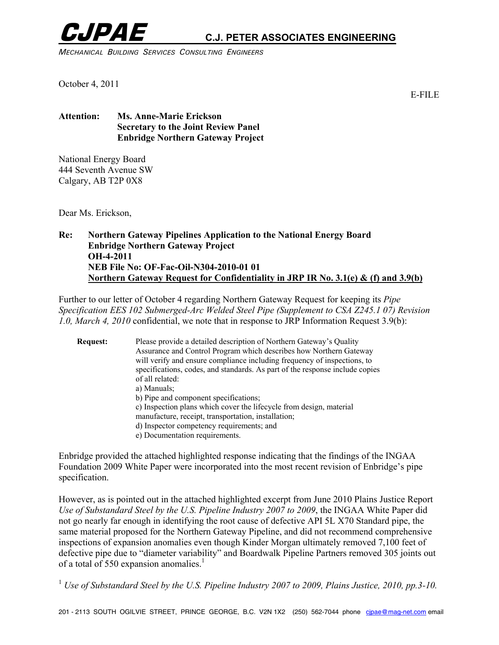

# **CJPAE C.J. PETER ASSOCIATES ENGINEERING**

*MECHANICAL BUILDING SERVICES CONSULTING ENGINEERS* 

October 4, 2011

E-FILE

#### **Attention: Ms. Anne-Marie Erickson Secretary to the Joint Review Panel Enbridge Northern Gateway Project**

National Energy Board 444 Seventh Avenue SW Calgary, AB T2P 0X8

Dear Ms. Erickson,

#### **Re: Northern Gateway Pipelines Application to the National Energy Board Enbridge Northern Gateway Project OH-4-2011 NEB File No: OF-Fac-Oil-N304-2010-01 01 Northern Gateway Request for Confidentiality in JRP IR No. 3.1(e) & (f) and 3.9(b)**

Further to our letter of October 4 regarding Northern Gateway Request for keeping its *Pipe Specification EES 102 Submerged-Arc Welded Steel Pipe (Supplement to CSA Z245.1 07) Revision 1.0, March 4, 2010* confidential, we note that in response to JRP Information Request 3.9(b):

| <b>Request:</b> | Please provide a detailed description of Northern Gateway's Quality<br>Assurance and Control Program which describes how Northern Gateway<br>will verify and ensure compliance including frequency of inspections, to<br>specifications, codes, and standards. As part of the response include copies<br>of all related:<br>a) Manuals:<br>b) Pipe and component specifications;<br>c) Inspection plans which cover the lifecycle from design, material<br>manufacture, receipt, transportation, installation;<br>d) Inspector competency requirements; and |
|-----------------|-------------------------------------------------------------------------------------------------------------------------------------------------------------------------------------------------------------------------------------------------------------------------------------------------------------------------------------------------------------------------------------------------------------------------------------------------------------------------------------------------------------------------------------------------------------|
|                 | e) Documentation requirements.                                                                                                                                                                                                                                                                                                                                                                                                                                                                                                                              |

Enbridge provided the attached highlighted response indicating that the findings of the INGAA Foundation 2009 White Paper were incorporated into the most recent revision of Enbridge's pipe specification.

However, as is pointed out in the attached highlighted excerpt from June 2010 Plains Justice Report *Use of Substandard Steel by the U.S. Pipeline Industry 2007 to 2009*, the INGAA White Paper did not go nearly far enough in identifying the root cause of defective API 5L X70 Standard pipe, the same material proposed for the Northern Gateway Pipeline, and did not recommend comprehensive inspections of expansion anomalies even though Kinder Morgan ultimately removed 7,100 feet of defective pipe due to "diameter variability" and Boardwalk Pipeline Partners removed 305 joints out of a total of 550 expansion anomalies.<sup>1</sup>

<sup>1</sup> Use of Substandard Steel by the U.S. Pipeline Industry 2007 to 2009, Plains Justice, 2010, pp.3-10.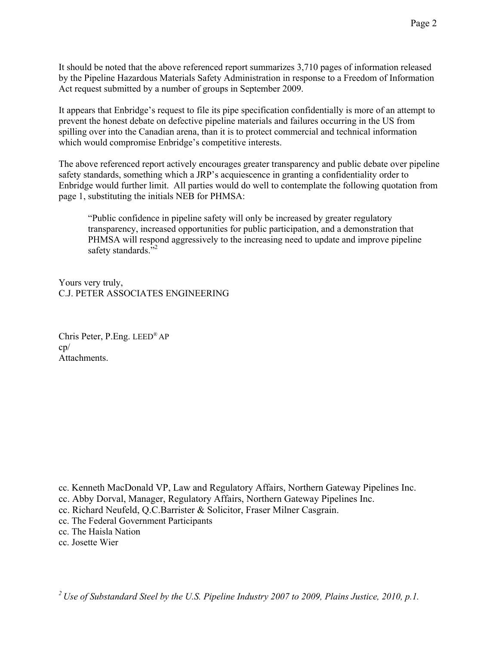It should be noted that the above referenced report summarizes 3,710 pages of information released by the Pipeline Hazardous Materials Safety Administration in response to a Freedom of Information Act request submitted by a number of groups in September 2009.

It appears that Enbridge's request to file its pipe specification confidentially is more of an attempt to prevent the honest debate on defective pipeline materials and failures occurring in the US from spilling over into the Canadian arena, than it is to protect commercial and technical information which would compromise Enbridge's competitive interests.

The above referenced report actively encourages greater transparency and public debate over pipeline safety standards, something which a JRP's acquiescence in granting a confidentiality order to Enbridge would further limit. All parties would do well to contemplate the following quotation from page 1, substituting the initials NEB for PHMSA:

"Public confidence in pipeline safety will only be increased by greater regulatory transparency, increased opportunities for public participation, and a demonstration that PHMSA will respond aggressively to the increasing need to update and improve pipeline safety standards."<sup>2</sup>

Yours very truly, C.J. PETER ASSOCIATES ENGINEERING

Chris Peter, P.Eng. LEED® AP cp/ **Attachments** 

cc. Kenneth MacDonald VP, Law and Regulatory Affairs, Northern Gateway Pipelines Inc.

- cc. Abby Dorval, Manager, Regulatory Affairs, Northern Gateway Pipelines Inc.
- cc. Richard Neufeld, Q.C.Barrister & Solicitor, Fraser Milner Casgrain.
- cc. The Federal Government Participants

cc. The Haisla Nation

cc. Josette Wier

*2 Use of Substandard Steel by the U.S. Pipeline Industry 2007 to 2009, Plains Justice, 2010, p.1.*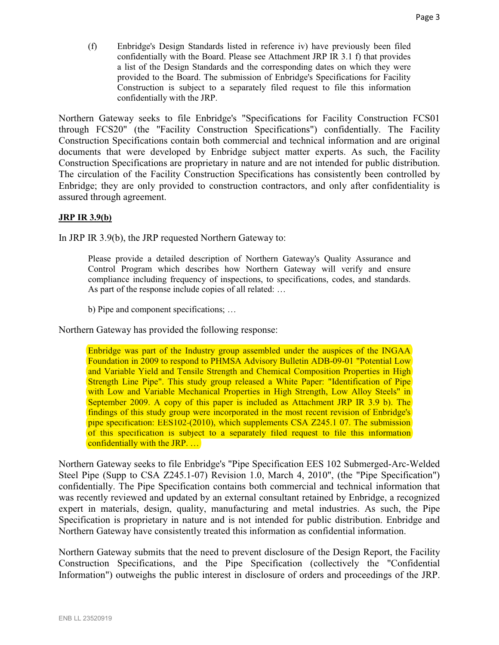(f) Enbridge's Design Standards listed in reference iv) have previously been filed confidentially with the Board. Please see Attachment JRP IR 3.1 f) that provides a list of the Design Standards and the corresponding dates on which they were provided to the Board. The submission of Enbridge's Specifications for Facility Construction is subject to a separately filed request to file this information confidentially with the JRP.

Northern Gateway seeks to file Enbridge's "Specifications for Facility Construction FCS01 through FCS20" (the "Facility Construction Specifications") confidentially. The Facility Construction Specifications contain both commercial and technical information and are original documents that were developed by Enbridge subject matter experts. As such, the Facility Construction Specifications are proprietary in nature and are not intended for public distribution. The circulation of the Facility Construction Specifications has consistently been controlled by Enbridge; they are only provided to construction contractors, and only after confidentiality is assured through agreement.

#### **JRP IR 3.9(b)**

In JRP IR 3.9(b), the JRP requested Northern Gateway to:

Please provide a detailed description of Northern Gateway's Quality Assurance and Control Program which describes how Northern Gateway will verify and ensure compliance including frequency of inspections, to specifications, codes, and standards. As part of the response include copies of all related: …

b) Pipe and component specifications; …

Northern Gateway has provided the following response:

Enbridge was part of the Industry group assembled under the auspices of the INGAA Foundation in 2009 to respond to PHMSA Advisory Bulletin ADB-09-01 "Potential Low and Variable Yield and Tensile Strength and Chemical Composition Properties in High and Variable Yield and Tensile Strength and Chemical Composition Properties in High<br>Strength Line Pipe". This study group released a White Paper: "Identification of Pipe with Low and Variable Mechanical Properties in High Strength, Low Alloy Steels" in September 2009. A copy of this paper is included as Attachment JRP IR 3.9 b). The findings of this study group were incorporated in the most recent revision of Enbridge's pipe specification: EES102-(2010), which supplements CSA Z245.1 07. The submission of this specification is subject to a separately filed request to file this information confidentially with the JRP. …

Northern Gateway seeks to file Enbridge's "Pipe Specification EES 102 Submerged-Arc-Welded Steel Pipe (Supp to CSA Z245.1-07) Revision 1.0, March 4, 2010", (the "Pipe Specification") confidentially. The Pipe Specification contains both commercial and technical information that was recently reviewed and updated by an external consultant retained by Enbridge, a recognized expert in materials, design, quality, manufacturing and metal industries. As such, the Pipe Specification is proprietary in nature and is not intended for public distribution. Enbridge and Northern Gateway have consistently treated this information as confidential information.

Northern Gateway submits that the need to prevent disclosure of the Design Report, the Facility Construction Specifications, and the Pipe Specification (collectively the "Confidential Information") outweighs the public interest in disclosure of orders and proceedings of the JRP.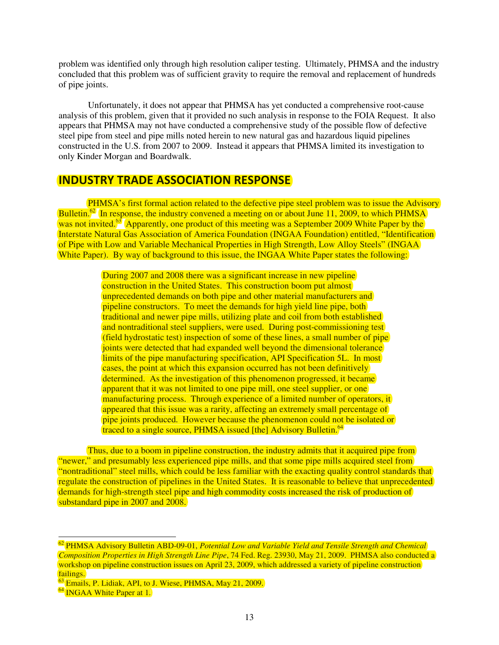problem was identified only through high resolution caliper testing. Ultimately, PHMSA and the industry concluded that this problem was of sufficient gravity to require the removal and replacement of hundreds of pipe joints.

 Unfortunately, it does not appear that PHMSA has yet conducted a comprehensive root-cause analysis of this problem, given that it provided no such analysis in response to the FOIA Request. It also appears that PHMSA may not have conducted a comprehensive study of the possible flow of defective steel pipe from steel and pipe mills noted herein to new natural gas and hazardous liquid pipelines constructed in the U.S. from 2007 to 2009. Instead it appears that PHMSA limited its investigation to only Kinder Morgan and Boardwalk.

### **INDUSTRY TRADE ASSOCIATION RESPONSE**

PHMSA's first formal action related to the defective pipe steel problem was to issue the Advisory Bulletin.<sup>62</sup> In response, the industry convened a meeting on or about June 11, 2009, to which PHMSA was not invited.<sup>63</sup> Apparently, one product of this meeting was a September 2009 White Paper by the Interstate Natural Gas Association of America Foundation (INGAA Foundation) entitled, "Identification of Pipe with Low and Variable Mechanical Properties in High Strength, Low Alloy Steels" (INGAA White Paper). By way of background to this issue, the INGAA White Paper states the following: Bulletin.<sup>62</sup> In response, the industry convened a meeting on or about June 11, 2009, to which PHMS<sub>4</sub> was not invited.<sup>63</sup> Apparently, one product of this meeting was a September 2009 White Paper by the Interstate Natural

During 2007 and 2008 there was a significant increase in new pipeline construction in the United States. This construction boom put almost unprecedented demands on both pipe and other material manufacturers and pipeline constructors. To meet the demands for high yield line pipe, both traditional and newer pipe mills, utilizing plate and coil from both established and nontraditional steel suppliers, were used. During post-commissioning test (field hydrostatic test) inspection of some of these lines, a small number of pipe joints were detected that had expanded well beyond the dimensional tolerance limits of the pipe manufacturing specification, API Specification 5L. In most cases, the point at which this expansion occurred has not been definitively determined. As the investigation of this phenomenon progressed, it became apparent that it was not limited to one pipe mill, one steel supplier, or one manufacturing process. Through experience of a limited number of operators, it appeared that this issue was a rarity, affecting an extremely small percentage of pipe joints produced. However because the phenomenon could not be isolated or traced to a single source, PHMSA issued [the] Advisory Bulletin.<sup>64</sup> mills, utilizing plate and coil from both established<br>opliers, were used. During post-commissioning test<br>ection of some of these lines, a small number of pipe<br>ad expanded well beyond the dimensional tolerance<br>uring specifi

Thus, due to a boom in pipeline construction, the industry admits that it acquired pipe from "newer," and presumably less experienced pipe mills, and that some pipe mills acquired steel from "nontraditional" steel mills, which could be less familiar with the exacting quality control standards that regulate the construction of pipelines in the United States. It is reasonable to believe that unprecedented demands for high-strength steel pipe and high commodity costs increased the risk of production of substandard pipe in 2007 and 2008. due to a boom in pipeline construction, the industry admits that it acquired pipe from<br>presumably less experienced pipe mills, and that some pipe mills acquired steel from<br>al" steel mills, which could be less familiar with

 $\frac{\omega}{\Omega}$ PHMSA Advisory Bulletin ABD-09-01, Potential Low and Variable Yield and Tensile Strength and Chemical *Composition Properties in High Strength Line Pipe*, 74 Fed. Reg. 23930, May 21, 2009. PHMSA also conducted a workshop on pipeline construction issues on April 23, 2009, which addressed a variety of pipeline construction failings.

<sup>&</sup>lt;sup>63</sup> Emails, P. Lidiak, API, to J. Wiese, PHMSA, May 21, 2009.

<sup>&</sup>lt;sup>64</sup> INGAA White Paper at 1.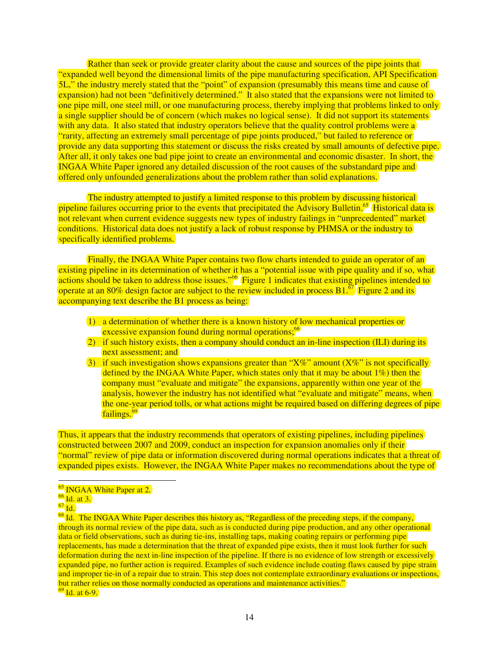Rather than seek or provide greater clarity about the cause and sources of the pipe joints that "expanded well beyond the dimensional limits of the pipe manufacturing specification, API Specification "expanded well beyond the dimensional limits of the pipe manufacturing specification, API Specification."<br>5L," the industry merely stated that the "point" of expansion (presumably this means time and cause of expansion) had not been "definitively determined." It also stated that the expansions were not limited to one pipe mill, one steel mill, or one manufacturing process, thereby implying that problems linked to only a single supplier should be of concern (which makes no logical sense). It did not support its statements with any data. It also stated that industry operators believe that the quality control problems were a "rarity, affecting an extremely small percentage of pipe joints produced," but failed to reference or with any data. It also stated that industry operators believe that the quality control problems were a<br>"rarity, affecting an extremely small percentage of pipe joints produced," but failed to reference or<br>provide any data After all, it only takes one bad pipe joint to create an environmental and economic disaster. In short, the INGAA White Paper ignored any detailed discussion of the root causes of the substandard pipe and offered only unfounded generalizations about the problem rather than solid explanations.

The industry attempted to justify a limited response to this problem by discussing historical pipeline failures occurring prior to the events that precipitated the Advisory Bulletin.<sup>65</sup> Historical data is not relevant when current evidence suggests new types of industry failings in "unprecedented" market conditions. Historical data does not justify a lack of robust response by PHMSA or the industry to specifically identified problems. bad pipe joint to create an environmental and economic disaster. In short, the response of the root causes of the substandard pipe and ineralizations about the problem rather than solid explanations.<br>
appred to justify a l

Finally, the INGAA White Paper contains two flow charts intended to guide an operator of an existing pipeline in its determination of whether it has a "potential issue with pipe quality and if so, what actions should be taken to address those issues."<sup>66</sup> Figure 1 indicates that existing pipelines intended to operate at an 80% design factor are subject to the review included in process  $B1<sup>67</sup>$  Figure 2 and its operate at an 80% design factor are subject to the review included in process  $B1$ .<sup> $67$ </sup> Figure 2 and its accompanying text describe the B1 process as being:

- 1) a determination of whether there is a known history of low mechanical properties or 1) a determination of whether there is a known history of  $\frac{1}{2}$  excessive expansion found during normal operations;<sup>68</sup>
- 2) if such history exists, then a company should conduct an in-line inspection (ILI) during its next assessment; and 2) if such history exists, then a company should conduct an in-line inspection (ILI) during its<br>
<u>next</u> assessment; and<br>
3) if such investigation shows expansions greater than "X%" amount (X%" is not specifically
- defined by the INGAA White Paper, which states only that it may be about 1%) then the company must "evaluate and mitigate" the expansions, apparently within one year of the analysis, however the industry has not identified what "evaluate and mitigate" means, when the one-year period tolls, or what actions might be required based on differing degrees of pipe<br>failings.<sup>69</sup> failings.<sup>69</sup>

Thus, it appears that the industry recommends that operators of existing pipelines, including pipelines constructed between 2007 and 2009, conduct an inspection for expansion anomalies only if their "normal" review of pipe data or information discovered during normal operations indicates that a threat of expanded pipes exists. However, the INGAA White Paper makes no recommendations about the type of constructed between 2007 and 2009, conduct an inspection for expansion anomalies only if their<br>
"normal" review of pipe data or information discovered during normal operations indicates that a threat of<br>
expanded pipes exi

<sup>&</sup>lt;sup>65</sup> INGAA White Paper at 2.

<sup>66</sup> Id. at 3.

<sup>67</sup> Id.

through its normal review of the pipe data, such as is conducted during pipe production, and any other operational<br>data or field observations, such as during tie-ins, installing taps, making coating repairs or performing p data or field observations, such as during tie-ins, installing taps, making coating repairs or performing pipe replacements, has made a determination that the threat of expanded pipe exists, then it must look further for such deformation during the next in-line inspection of the pipeline. If there is no evidence of low strength or excessively expanded pipe, no further action is required. Examples of such evidence include coating flaws caused by pipe strain and improper tie-in of a repair due to strain. This step does not contemplate extraordinary evaluations or inspections, but rather relies on those normally conducted as operations and maintenance activities." In of the pipeline. If there is no evidence of low strength or e<br>Examples of such evidence include coating flaws caused by<br>This step does not contemplate extraordinary evaluations or<br>as operations and maintenance activitie

 $69$  Id. at 6-9.